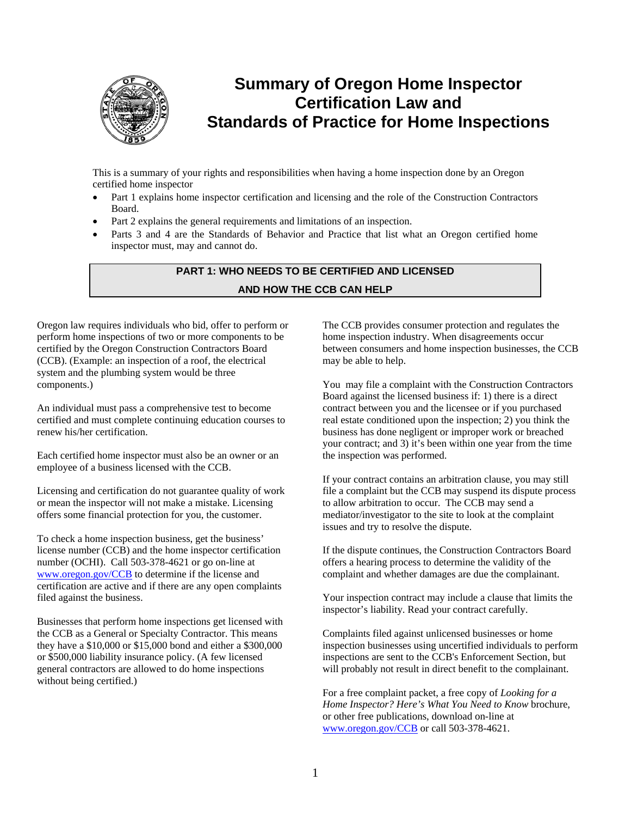

# **Summary of Oregon Home Inspector Certification Law and Standards of Practice for Home Inspections**

This is a summary of your rights and responsibilities when having a home inspection done by an Oregon certified home inspector

- Part 1 explains home inspector certification and licensing and the role of the Construction Contractors Board.
- Part 2 explains the general requirements and limitations of an inspection.
- Parts 3 and 4 are the Standards of Behavior and Practice that list what an Oregon certified home inspector must, may and cannot do.

# **PART 1: WHO NEEDS TO BE CERTIFIED AND LICENSED AND HOW THE CCB CAN HELP**

Oregon law requires individuals who bid, offer to perform or perform home inspections of two or more components to be certified by the Oregon Construction Contractors Board (CCB). (Example: an inspection of a roof, the electrical system and the plumbing system would be three components.)

An individual must pass a comprehensive test to become certified and must complete continuing education courses to renew his/her certification.

Each certified home inspector must also be an owner or an employee of a business licensed with the CCB.

Licensing and certification do not guarantee quality of work or mean the inspector will not make a mistake. Licensing offers some financial protection for you, the customer.

To check a home inspection business, get the business' license number (CCB) and the home inspector certification number (OCHI). Call 503-378-4621 or go on-line at www.oregon.gov/CCB to determine if the license and certification are active and if there are any open complaints filed against the business.

Businesses that perform home inspections get licensed with the CCB as a General or Specialty Contractor. This means they have a \$10,000 or \$15,000 bond and either a \$300,000 or \$500,000 liability insurance policy. (A few licensed general contractors are allowed to do home inspections without being certified.)

The CCB provides consumer protection and regulates the home inspection industry. When disagreements occur between consumers and home inspection businesses, the CCB may be able to help.

You may file a complaint with the Construction Contractors Board against the licensed business if: 1) there is a direct contract between you and the licensee or if you purchased real estate conditioned upon the inspection; 2) you think the business has done negligent or improper work or breached your contract; and 3) it's been within one year from the time the inspection was performed.

If your contract contains an arbitration clause, you may still file a complaint but the CCB may suspend its dispute process to allow arbitration to occur. The CCB may send a mediator/investigator to the site to look at the complaint issues and try to resolve the dispute.

If the dispute continues, the Construction Contractors Board offers a hearing process to determine the validity of the complaint and whether damages are due the complainant.

Your inspection contract may include a clause that limits the inspector's liability. Read your contract carefully.

Complaints filed against unlicensed businesses or home inspection businesses using uncertified individuals to perform inspections are sent to the CCB's Enforcement Section, but will probably not result in direct benefit to the complainant.

For a free complaint packet, a free copy of *Looking for a Home Inspector? Here's What You Need to Know* brochure, or other free publications, download on-line at www.oregon.gov/CCB or call 503-378-4621.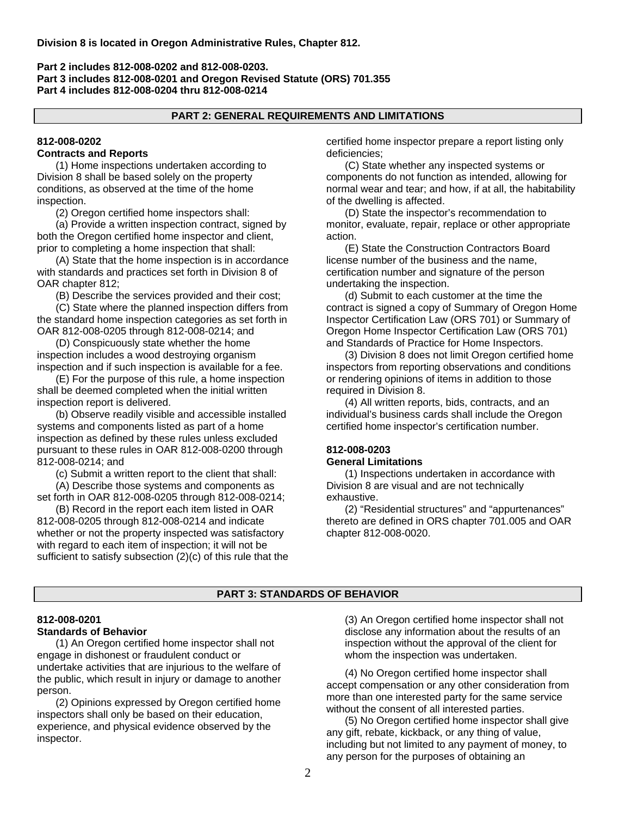### **Part 2 includes 812-008-0202 and 812-008-0203. Part 3 includes 812-008-0201 and Oregon Revised Statute (ORS) 701.355 Part 4 includes 812-008-0204 thru 812-008-0214**

#### **PART 2: GENERAL REQUIREMENTS AND LIMITATIONS**

# **812-008-0202**

# **Contracts and Reports**

(1) Home inspections undertaken according to Division 8 shall be based solely on the property conditions, as observed at the time of the home inspection.

(2) Oregon certified home inspectors shall:

(a) Provide a written inspection contract, signed by both the Oregon certified home inspector and client, prior to completing a home inspection that shall:

(A) State that the home inspection is in accordance with standards and practices set forth in Division 8 of OAR chapter 812;

(B) Describe the services provided and their cost;

(C) State where the planned inspection differs from the standard home inspection categories as set forth in OAR 812-008-0205 through 812-008-0214; and

(D) Conspicuously state whether the home inspection includes a wood destroying organism inspection and if such inspection is available for a fee.

(E) For the purpose of this rule, a home inspection shall be deemed completed when the initial written inspection report is delivered.

(b) Observe readily visible and accessible installed systems and components listed as part of a home inspection as defined by these rules unless excluded pursuant to these rules in OAR 812-008-0200 through 812-008-0214; and

(c) Submit a written report to the client that shall:

(A) Describe those systems and components as set forth in OAR 812-008-0205 through 812-008-0214;

(B) Record in the report each item listed in OAR 812-008-0205 through 812-008-0214 and indicate whether or not the property inspected was satisfactory with regard to each item of inspection; it will not be sufficient to satisfy subsection (2)(c) of this rule that the certified home inspector prepare a report listing only deficiencies;

(C) State whether any inspected systems or components do not function as intended, allowing for normal wear and tear; and how, if at all, the habitability of the dwelling is affected.

(D) State the inspector's recommendation to monitor, evaluate, repair, replace or other appropriate action.

(E) State the Construction Contractors Board license number of the business and the name, certification number and signature of the person undertaking the inspection.

(d) Submit to each customer at the time the contract is signed a copy of Summary of Oregon Home Inspector Certification Law (ORS 701) or Summary of Oregon Home Inspector Certification Law (ORS 701) and Standards of Practice for Home Inspectors.

(3) Division 8 does not limit Oregon certified home inspectors from reporting observations and conditions or rendering opinions of items in addition to those required in Division 8.

(4) All written reports, bids, contracts, and an individual's business cards shall include the Oregon certified home inspector's certification number.

### **812-008-0203 General Limitations**

(1) Inspections undertaken in accordance with Division 8 are visual and are not technically exhaustive.

(2) "Residential structures" and "appurtenances" thereto are defined in ORS chapter 701.005 and OAR chapter 812-008-0020.

# **PART 3: STANDARDS OF BEHAVIOR**

#### **812-008-0201 Standards of Behavior**

(1) An Oregon certified home inspector shall not engage in dishonest or fraudulent conduct or undertake activities that are injurious to the welfare of the public, which result in injury or damage to another person.

(2) Opinions expressed by Oregon certified home inspectors shall only be based on their education, experience, and physical evidence observed by the inspector.

(3) An Oregon certified home inspector shall not disclose any information about the results of an inspection without the approval of the client for whom the inspection was undertaken.

(4) No Oregon certified home inspector shall accept compensation or any other consideration from more than one interested party for the same service without the consent of all interested parties.

(5) No Oregon certified home inspector shall give any gift, rebate, kickback, or any thing of value, including but not limited to any payment of money, to any person for the purposes of obtaining an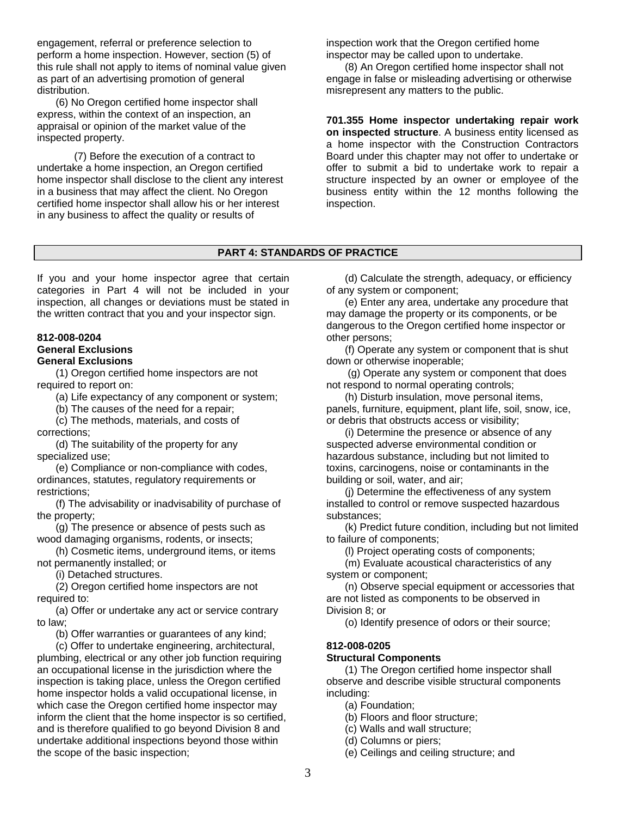engagement, referral or preference selection to perform a home inspection. However, section (5) of this rule shall not apply to items of nominal value given as part of an advertising promotion of general distribution.

 (6) No Oregon certified home inspector shall express, within the context of an inspection, an appraisal or opinion of the market value of the inspected property.

 (7) Before the execution of a contract to undertake a home inspection, an Oregon certified home inspector shall disclose to the client any interest in a business that may affect the client. No Oregon certified home inspector shall allow his or her interest in any business to affect the quality or results of

inspection work that the Oregon certified home inspector may be called upon to undertake.

(8) An Oregon certified home inspector shall not engage in false or misleading advertising or otherwise misrepresent any matters to the public.

**701.355 Home inspector undertaking repair work on inspected structure**. A business entity licensed as a home inspector with the Construction Contractors Board under this chapter may not offer to undertake or offer to submit a bid to undertake work to repair a structure inspected by an owner or employee of the business entity within the 12 months following the inspection.

# **PART 4: STANDARDS OF PRACTICE**

If you and your home inspector agree that certain categories in Part 4 will not be included in your inspection, all changes or deviations must be stated in the written contract that you and your inspector sign.

# **812-008-0204**

# **General Exclusions**

# **General Exclusions**

(1) Oregon certified home inspectors are not required to report on:

(a) Life expectancy of any component or system;

(b) The causes of the need for a repair;

(c) The methods, materials, and costs of corrections;

(d) The suitability of the property for any specialized use;

(e) Compliance or non-compliance with codes, ordinances, statutes, regulatory requirements or restrictions;

(f) The advisability or inadvisability of purchase of the property;

(g) The presence or absence of pests such as wood damaging organisms, rodents, or insects;

(h) Cosmetic items, underground items, or items not permanently installed; or

(i) Detached structures.

(2) Oregon certified home inspectors are not required to:

(a) Offer or undertake any act or service contrary to law;

(b) Offer warranties or guarantees of any kind;

(c) Offer to undertake engineering, architectural, plumbing, electrical or any other job function requiring an occupational license in the jurisdiction where the inspection is taking place, unless the Oregon certified home inspector holds a valid occupational license, in which case the Oregon certified home inspector may inform the client that the home inspector is so certified, and is therefore qualified to go beyond Division 8 and undertake additional inspections beyond those within the scope of the basic inspection;

(d) Calculate the strength, adequacy, or efficiency of any system or component;

(e) Enter any area, undertake any procedure that may damage the property or its components, or be dangerous to the Oregon certified home inspector or other persons;

(f) Operate any system or component that is shut down or otherwise inoperable;

 (g) Operate any system or component that does not respond to normal operating controls;

(h) Disturb insulation, move personal items, panels, furniture, equipment, plant life, soil, snow, ice, or debris that obstructs access or visibility;

(i) Determine the presence or absence of any suspected adverse environmental condition or hazardous substance, including but not limited to toxins, carcinogens, noise or contaminants in the building or soil, water, and air;

(j) Determine the effectiveness of any system installed to control or remove suspected hazardous substances;

(k) Predict future condition, including but not limited to failure of components;

(l) Project operating costs of components;

(m) Evaluate acoustical characteristics of any system or component;

(n) Observe special equipment or accessories that are not listed as components to be observed in Division 8; or

(o) Identify presence of odors or their source;

# **812-008-0205**

#### **Structural Components**

(1) The Oregon certified home inspector shall observe and describe visible structural components including:

(a) Foundation;

(b) Floors and floor structure;

(c) Walls and wall structure;

(d) Columns or piers;

(e) Ceilings and ceiling structure; and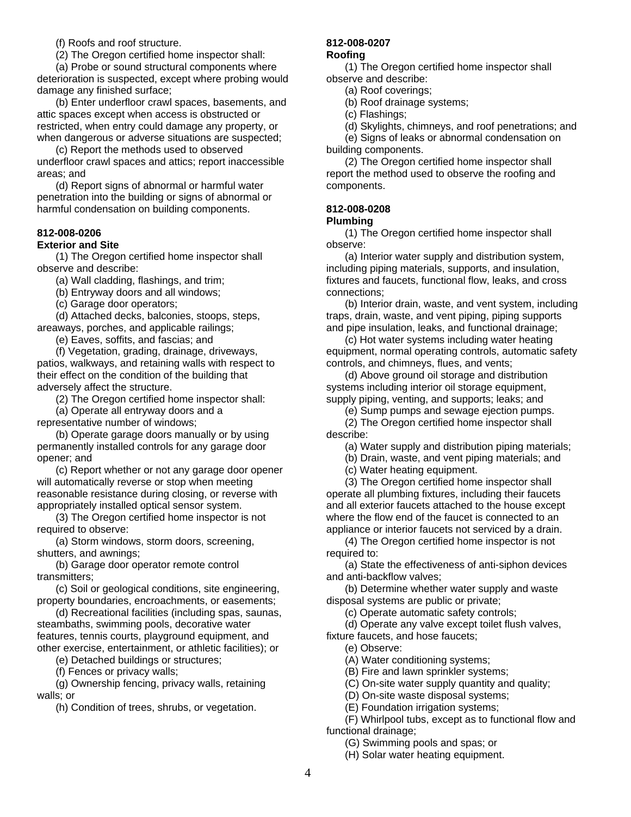(f) Roofs and roof structure.

(2) The Oregon certified home inspector shall:

(a) Probe or sound structural components where deterioration is suspected, except where probing would damage any finished surface;

(b) Enter underfloor crawl spaces, basements, and attic spaces except when access is obstructed or restricted, when entry could damage any property, or when dangerous or adverse situations are suspected;

(c) Report the methods used to observed underfloor crawl spaces and attics; report inaccessible areas; and

(d) Report signs of abnormal or harmful water penetration into the building or signs of abnormal or harmful condensation on building components.

# **812-008-0206**

## **Exterior and Site**

(1) The Oregon certified home inspector shall observe and describe:

(a) Wall cladding, flashings, and trim;

(b) Entryway doors and all windows;

(c) Garage door operators;

(d) Attached decks, balconies, stoops, steps, areaways, porches, and applicable railings;

(e) Eaves, soffits, and fascias; and

(f) Vegetation, grading, drainage, driveways, patios, walkways, and retaining walls with respect to their effect on the condition of the building that adversely affect the structure.

(2) The Oregon certified home inspector shall:

(a) Operate all entryway doors and a representative number of windows;

(b) Operate garage doors manually or by using permanently installed controls for any garage door opener; and

(c) Report whether or not any garage door opener will automatically reverse or stop when meeting reasonable resistance during closing, or reverse with appropriately installed optical sensor system.

(3) The Oregon certified home inspector is not required to observe:

(a) Storm windows, storm doors, screening, shutters, and awnings;

(b) Garage door operator remote control transmitters;

(c) Soil or geological conditions, site engineering, property boundaries, encroachments, or easements;

(d) Recreational facilities (including spas, saunas, steambaths, swimming pools, decorative water features, tennis courts, playground equipment, and other exercise, entertainment, or athletic facilities); or

(e) Detached buildings or structures;

(f) Fences or privacy walls;

(g) Ownership fencing, privacy walls, retaining walls; or

(h) Condition of trees, shrubs, or vegetation.

#### **812-008-0207**

#### **Roofing**

(1) The Oregon certified home inspector shall observe and describe:

(a) Roof coverings;

(b) Roof drainage systems;

(c) Flashings;

(d) Skylights, chimneys, and roof penetrations; and

(e) Signs of leaks or abnormal condensation on building components.

(2) The Oregon certified home inspector shall report the method used to observe the roofing and components.

# **812-008-0208**

### **Plumbing**

(1) The Oregon certified home inspector shall observe:

(a) Interior water supply and distribution system, including piping materials, supports, and insulation, fixtures and faucets, functional flow, leaks, and cross connections;

(b) Interior drain, waste, and vent system, including traps, drain, waste, and vent piping, piping supports and pipe insulation, leaks, and functional drainage;

(c) Hot water systems including water heating equipment, normal operating controls, automatic safety controls, and chimneys, flues, and vents;

(d) Above ground oil storage and distribution systems including interior oil storage equipment, supply piping, venting, and supports; leaks; and

(e) Sump pumps and sewage ejection pumps.

(2) The Oregon certified home inspector shall describe:

(a) Water supply and distribution piping materials;

(b) Drain, waste, and vent piping materials; and

(c) Water heating equipment.

(3) The Oregon certified home inspector shall operate all plumbing fixtures, including their faucets and all exterior faucets attached to the house except where the flow end of the faucet is connected to an appliance or interior faucets not serviced by a drain.

(4) The Oregon certified home inspector is not required to:

(a) State the effectiveness of anti-siphon devices and anti-backflow valves;

(b) Determine whether water supply and waste disposal systems are public or private;

(c) Operate automatic safety controls;

(d) Operate any valve except toilet flush valves, fixture faucets, and hose faucets;

(e) Observe:

(A) Water conditioning systems;

(B) Fire and lawn sprinkler systems;

(C) On-site water supply quantity and quality;

(D) On-site waste disposal systems;

(E) Foundation irrigation systems;

(F) Whirlpool tubs, except as to functional flow and functional drainage;

(G) Swimming pools and spas; or

(H) Solar water heating equipment.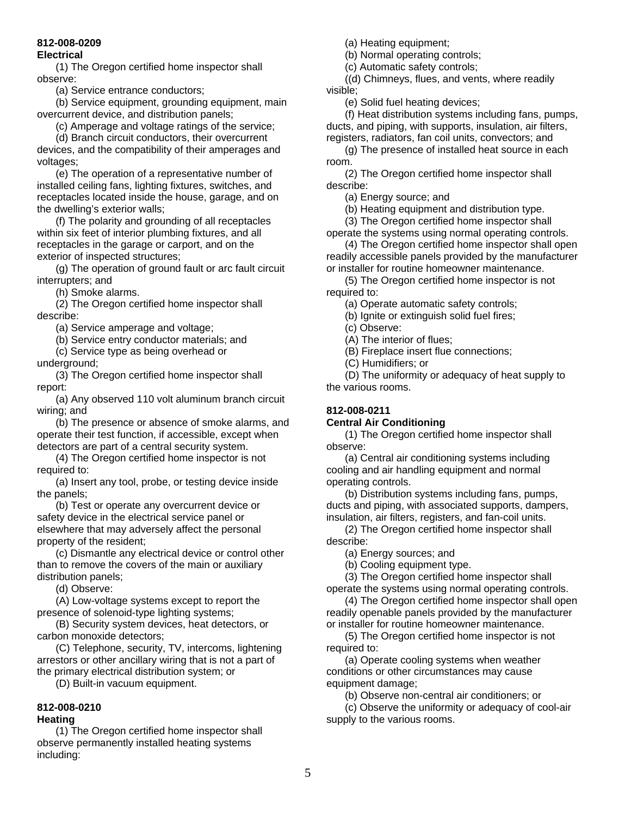# **812-008-0209**

### **Electrical**

(1) The Oregon certified home inspector shall observe:

(a) Service entrance conductors;

(b) Service equipment, grounding equipment, main overcurrent device, and distribution panels;

(c) Amperage and voltage ratings of the service;

(d) Branch circuit conductors, their overcurrent devices, and the compatibility of their amperages and voltages;

(e) The operation of a representative number of installed ceiling fans, lighting fixtures, switches, and receptacles located inside the house, garage, and on the dwelling's exterior walls;

(f) The polarity and grounding of all receptacles within six feet of interior plumbing fixtures, and all receptacles in the garage or carport, and on the exterior of inspected structures;

(g) The operation of ground fault or arc fault circuit interrupters; and

(h) Smoke alarms.

(2) The Oregon certified home inspector shall describe:

(a) Service amperage and voltage;

(b) Service entry conductor materials; and

(c) Service type as being overhead or

underground;

(3) The Oregon certified home inspector shall report:

(a) Any observed 110 volt aluminum branch circuit wiring; and

(b) The presence or absence of smoke alarms, and operate their test function, if accessible, except when detectors are part of a central security system.

(4) The Oregon certified home inspector is not required to:

(a) Insert any tool, probe, or testing device inside the panels;

(b) Test or operate any overcurrent device or safety device in the electrical service panel or elsewhere that may adversely affect the personal property of the resident;

(c) Dismantle any electrical device or control other than to remove the covers of the main or auxiliary distribution panels;

(d) Observe:

(A) Low-voltage systems except to report the presence of solenoid-type lighting systems;

(B) Security system devices, heat detectors, or carbon monoxide detectors;

(C) Telephone, security, TV, intercoms, lightening arrestors or other ancillary wiring that is not a part of the primary electrical distribution system; or

(D) Built-in vacuum equipment.

#### **812-008-0210 Heating**

(1) The Oregon certified home inspector shall observe permanently installed heating systems including:

(a) Heating equipment;

(b) Normal operating controls;

(c) Automatic safety controls;

((d) Chimneys, flues, and vents, where readily visible;

(e) Solid fuel heating devices;

(f) Heat distribution systems including fans, pumps, ducts, and piping, with supports, insulation, air filters, registers, radiators, fan coil units, convectors; and

(g) The presence of installed heat source in each room.

(2) The Oregon certified home inspector shall describe:

(a) Energy source; and

(b) Heating equipment and distribution type.

(3) The Oregon certified home inspector shall

operate the systems using normal operating controls. (4) The Oregon certified home inspector shall open

readily accessible panels provided by the manufacturer or installer for routine homeowner maintenance.

(5) The Oregon certified home inspector is not required to:

(a) Operate automatic safety controls;

(b) Ignite or extinguish solid fuel fires;

(c) Observe:

(A) The interior of flues;

(B) Fireplace insert flue connections;

(C) Humidifiers; or

(D) The uniformity or adequacy of heat supply to the various rooms.

# **812-008-0211**

# **Central Air Conditioning**

(1) The Oregon certified home inspector shall observe:

(a) Central air conditioning systems including cooling and air handling equipment and normal operating controls.

(b) Distribution systems including fans, pumps, ducts and piping, with associated supports, dampers, insulation, air filters, registers, and fan-coil units.

(2) The Oregon certified home inspector shall describe:

(a) Energy sources; and

(b) Cooling equipment type.

(3) The Oregon certified home inspector shall

operate the systems using normal operating controls.

(4) The Oregon certified home inspector shall open readily openable panels provided by the manufacturer or installer for routine homeowner maintenance.

(5) The Oregon certified home inspector is not required to:

(a) Operate cooling systems when weather conditions or other circumstances may cause equipment damage;

(b) Observe non-central air conditioners; or

(c) Observe the uniformity or adequacy of cool-air supply to the various rooms.